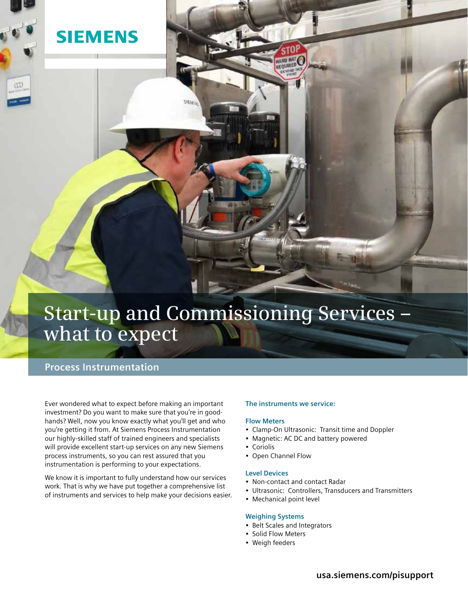

# **Start-up and Commissioning Services – what to expect**

## **Process Instrumentation**

Ever wondered what to expect before making an important investment? Do you want to make sure that you're in goodhands? Well, now you know exactly what you'll get and who you're getting it from. At Siemens Process Instrumentation our highly-skilled staff of trained engineers and specialists will provide excellent start-up services on any new Siemens process instruments, so you can rest assured that you instrumentation is performing to your expectations.

We know it is important to fully understand how our services work. That is why we have put together a comprehensive list of instruments and services to help make your decisions easier.

### **The instruments we service:**

HARD HAT

#### **Flow Meters**

- Clamp-On Ultrasonic: Transit time and Doppler
- Magnetic: AC DC and battery powered
- Coriolis
- • Open Channel Flow

#### **Level Devices**

- • Non-contact and contact Radar
- • Ultrasonic: Controllers, Transducers and Transmitters
- Mechanical point level

#### **Weighing Systems**

- • Belt Scales and Integrators
- Solid Flow Meters
- • Weigh feeders